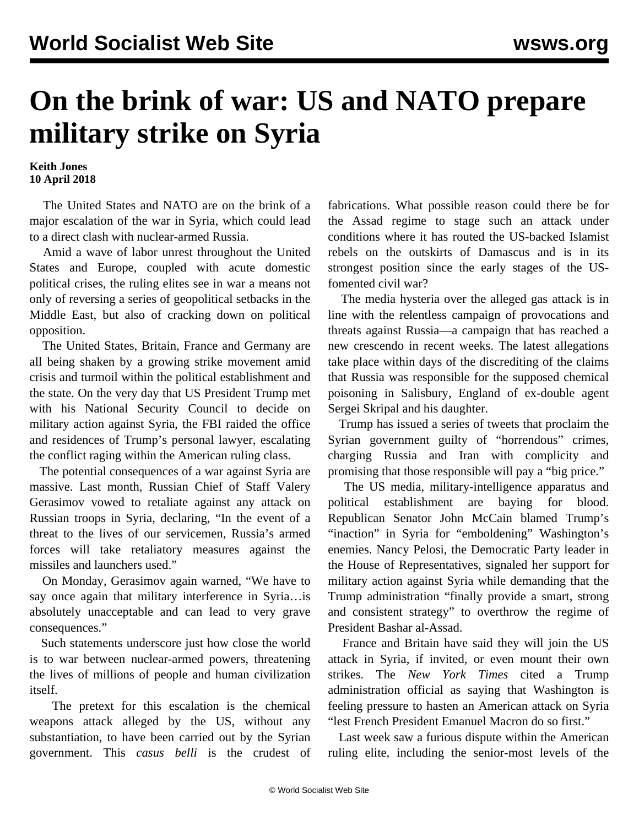## **On the brink of war: US and NATO prepare military strike on Syria**

## **Keith Jones 10 April 2018**

 The United States and NATO are on the brink of a major escalation of the war in Syria, which could lead to a direct clash with nuclear-armed Russia.

 Amid a wave of labor unrest throughout the United States and Europe, coupled with acute domestic political crises, the ruling elites see in war a means not only of reversing a series of geopolitical setbacks in the Middle East, but also of cracking down on political opposition.

 The United States, Britain, France and Germany are all being shaken by a growing strike movement amid crisis and turmoil within the political establishment and the state. On the very day that US President Trump met with his National Security Council to decide on military action against Syria, the FBI raided the office and residences of Trump's personal lawyer, escalating the conflict raging within the American ruling class.

 The potential consequences of a war against Syria are massive. Last month, Russian Chief of Staff Valery Gerasimov vowed to retaliate against any attack on Russian troops in Syria, declaring, "In the event of a threat to the lives of our servicemen, Russia's armed forces will take retaliatory measures against the missiles and launchers used."

 On Monday, Gerasimov again warned, "We have to say once again that military interference in Syria…is absolutely unacceptable and can lead to very grave consequences."

 Such statements underscore just how close the world is to war between nuclear-armed powers, threatening the lives of millions of people and human civilization itself.

 The pretext for this escalation is the chemical weapons attack alleged by the US, without any substantiation, to have been carried out by the Syrian government. This *casus belli* is the crudest of fabrications. What possible reason could there be for the Assad regime to stage such an attack under conditions where it has routed the US-backed Islamist rebels on the outskirts of Damascus and is in its strongest position since the early stages of the USfomented civil war?

 The media hysteria over the alleged gas attack is in line with the relentless campaign of provocations and threats against Russia—a campaign that has reached a new crescendo in recent weeks. The latest allegations take place within days of the discrediting of the claims that Russia was responsible for the supposed chemical poisoning in Salisbury, England of ex-double agent Sergei Skripal and his daughter.

 Trump has issued a series of tweets that proclaim the Syrian government guilty of "horrendous" crimes, charging Russia and Iran with complicity and promising that those responsible will pay a "big price."

 The US media, military-intelligence apparatus and political establishment are baying for blood. Republican Senator John McCain blamed Trump's "inaction" in Syria for "emboldening" Washington's enemies. Nancy Pelosi, the Democratic Party leader in the House of Representatives, signaled her support for military action against Syria while demanding that the Trump administration "finally provide a smart, strong and consistent strategy" to overthrow the regime of President Bashar al-Assad.

 France and Britain have said they will join the US attack in Syria, if invited, or even mount their own strikes. The *New York Times* cited a Trump administration official as saying that Washington is feeling pressure to hasten an American attack on Syria "lest French President Emanuel Macron do so first."

 Last week saw a furious dispute within the American ruling elite, including the senior-most levels of the